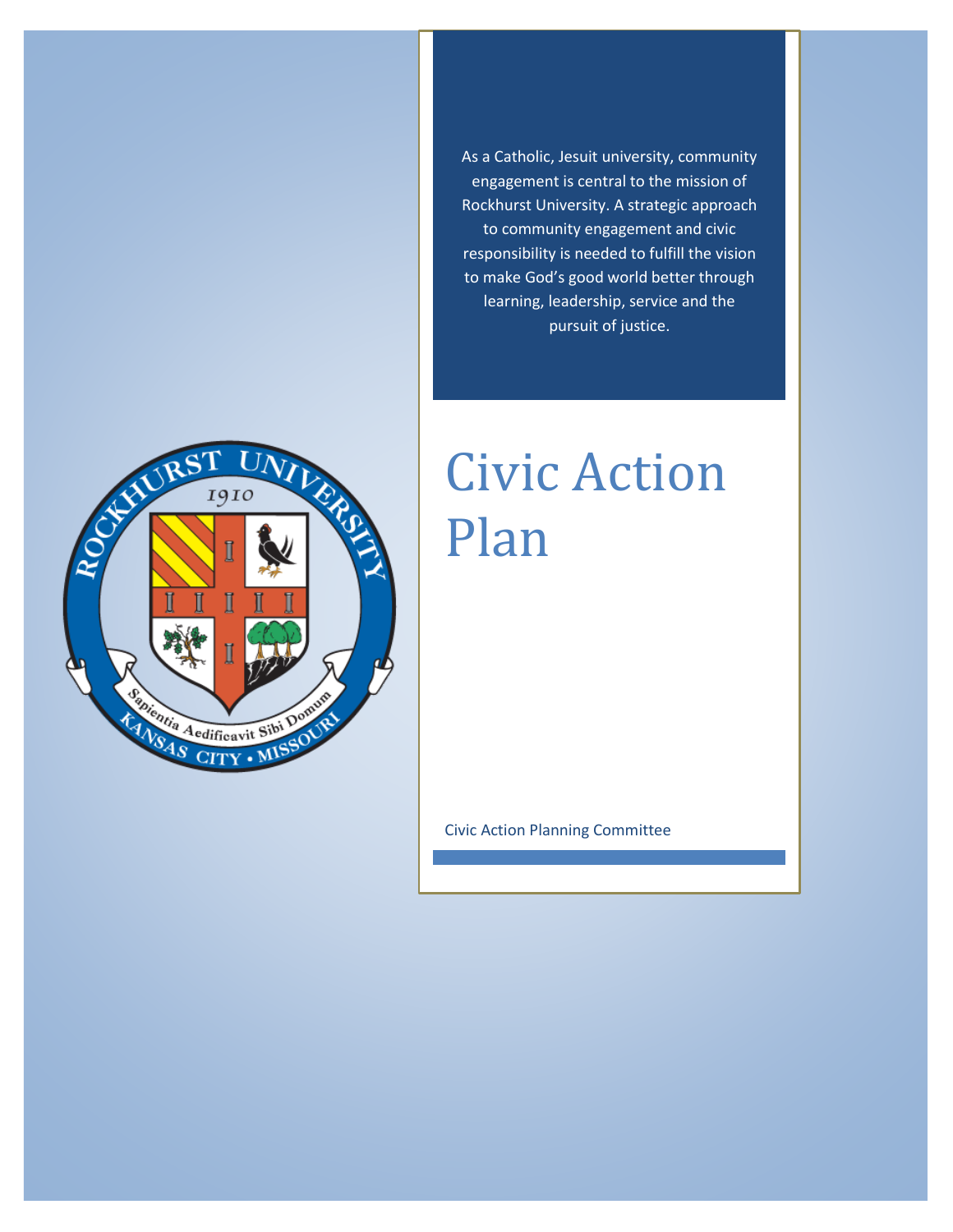As a Catholic, Jesuit university, community engagement is central to the mission of Rockhurst University. A strategic approach to community engagement and civic responsibility is needed to fulfill the vision to make God's good world better through learning, leadership, service and the pursuit of justice.



# Civic Action Plan

Civic Action Planning Committee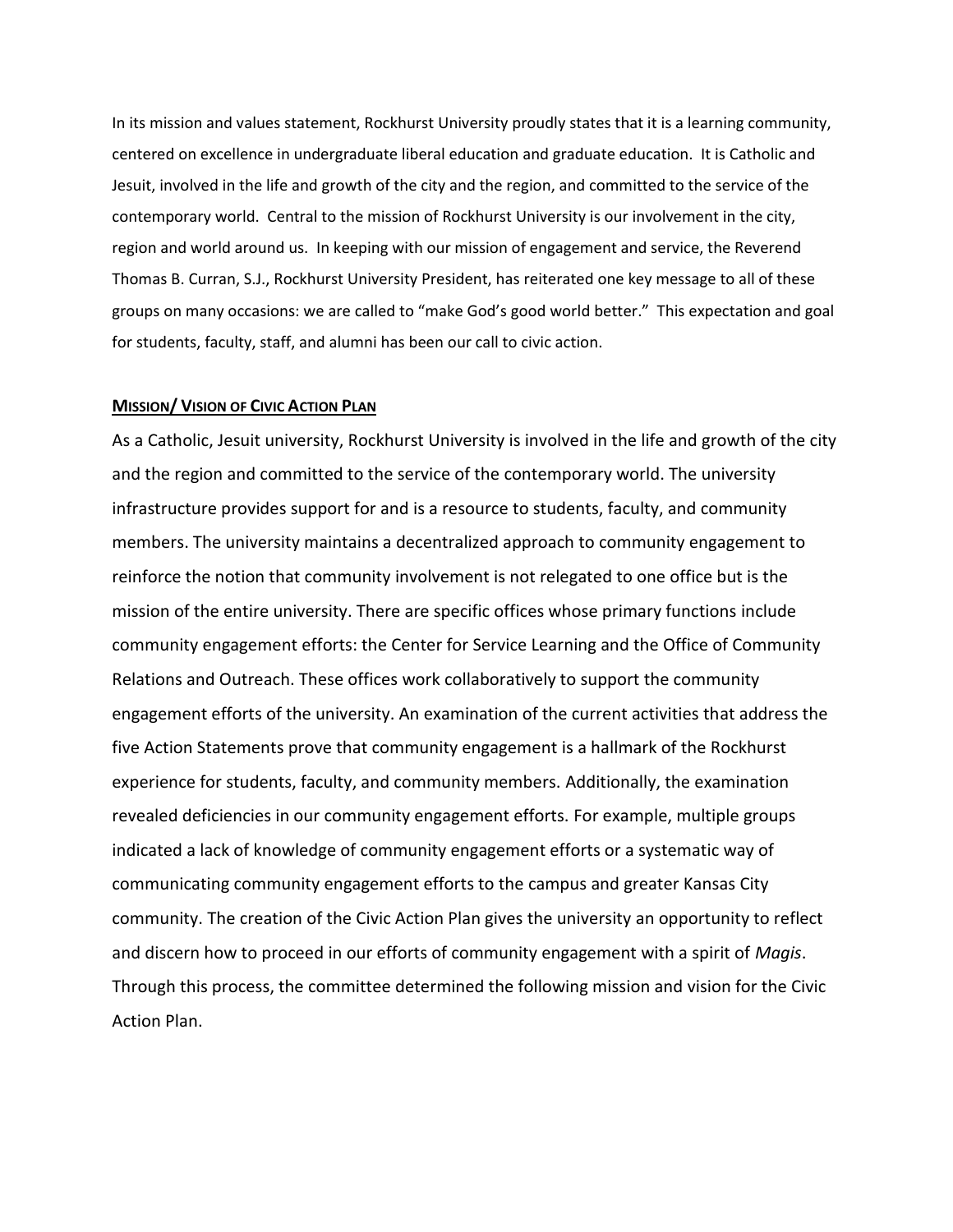In its mission and values statement, Rockhurst University proudly states that it is a learning community, centered on excellence in undergraduate liberal education and graduate education. It is Catholic and Jesuit, involved in the life and growth of the city and the region, and committed to the service of the contemporary world. Central to the mission of Rockhurst University is our involvement in the city, region and world around us. In keeping with our mission of engagement and service, the Reverend Thomas B. Curran, S.J., Rockhurst University President, has reiterated one key message to all of these groups on many occasions: we are called to "make God's good world better." This expectation and goal for students, faculty, staff, and alumni has been our call to civic action.

#### **MISSION/ VISION OF CIVIC ACTION PLAN**

As a Catholic, Jesuit university, Rockhurst University is involved in the life and growth of the city and the region and committed to the service of the contemporary world. The university infrastructure provides support for and is a resource to students, faculty, and community members. The university maintains a decentralized approach to community engagement to reinforce the notion that community involvement is not relegated to one office but is the mission of the entire university. There are specific offices whose primary functions include community engagement efforts: the Center for Service Learning and the Office of Community Relations and Outreach. These offices work collaboratively to support the community engagement efforts of the university. An examination of the current activities that address the five Action Statements prove that community engagement is a hallmark of the Rockhurst experience for students, faculty, and community members. Additionally, the examination revealed deficiencies in our community engagement efforts. For example, multiple groups indicated a lack of knowledge of community engagement efforts or a systematic way of communicating community engagement efforts to the campus and greater Kansas City community. The creation of the Civic Action Plan gives the university an opportunity to reflect and discern how to proceed in our efforts of community engagement with a spirit of *Magis*. Through this process, the committee determined the following mission and vision for the Civic Action Plan.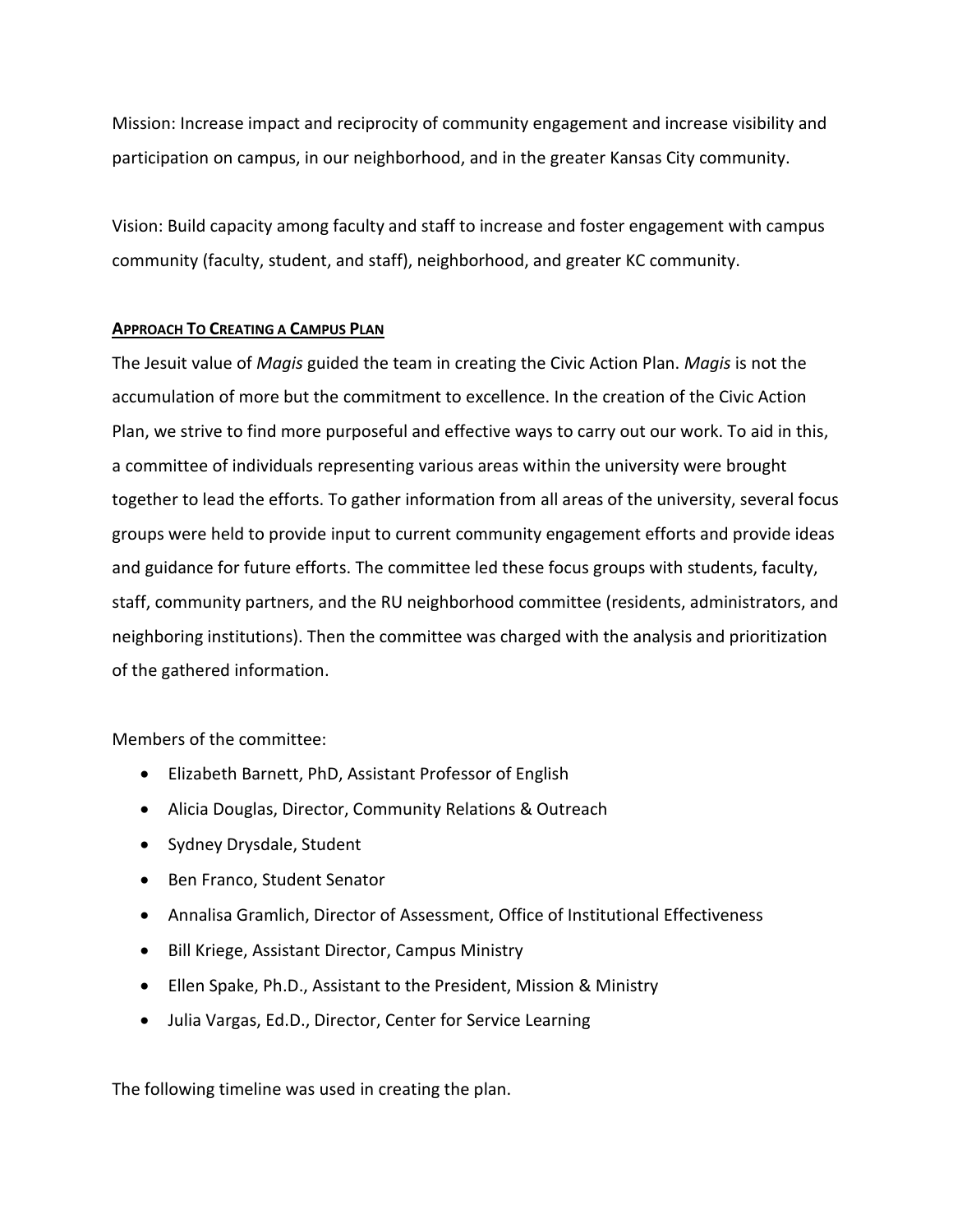Mission: Increase impact and reciprocity of community engagement and increase visibility and participation on campus, in our neighborhood, and in the greater Kansas City community.

Vision: Build capacity among faculty and staff to increase and foster engagement with campus community (faculty, student, and staff), neighborhood, and greater KC community.

### **APPROACH TO CREATING A CAMPUS PLAN**

The Jesuit value of *Magis* guided the team in creating the Civic Action Plan. *Magis* is not the accumulation of more but the commitment to excellence. In the creation of the Civic Action Plan, we strive to find more purposeful and effective ways to carry out our work. To aid in this, a committee of individuals representing various areas within the university were brought together to lead the efforts. To gather information from all areas of the university, several focus groups were held to provide input to current community engagement efforts and provide ideas and guidance for future efforts. The committee led these focus groups with students, faculty, staff, community partners, and the RU neighborhood committee (residents, administrators, and neighboring institutions). Then the committee was charged with the analysis and prioritization of the gathered information.

## Members of the committee:

- Elizabeth Barnett, PhD, Assistant Professor of English
- Alicia Douglas, Director, Community Relations & Outreach
- Sydney Drysdale, Student
- Ben Franco, Student Senator
- Annalisa Gramlich, Director of Assessment, Office of Institutional Effectiveness
- Bill Kriege, Assistant Director, Campus Ministry
- Ellen Spake, Ph.D., Assistant to the President, Mission & Ministry
- Julia Vargas, Ed.D., Director, Center for Service Learning

The following timeline was used in creating the plan.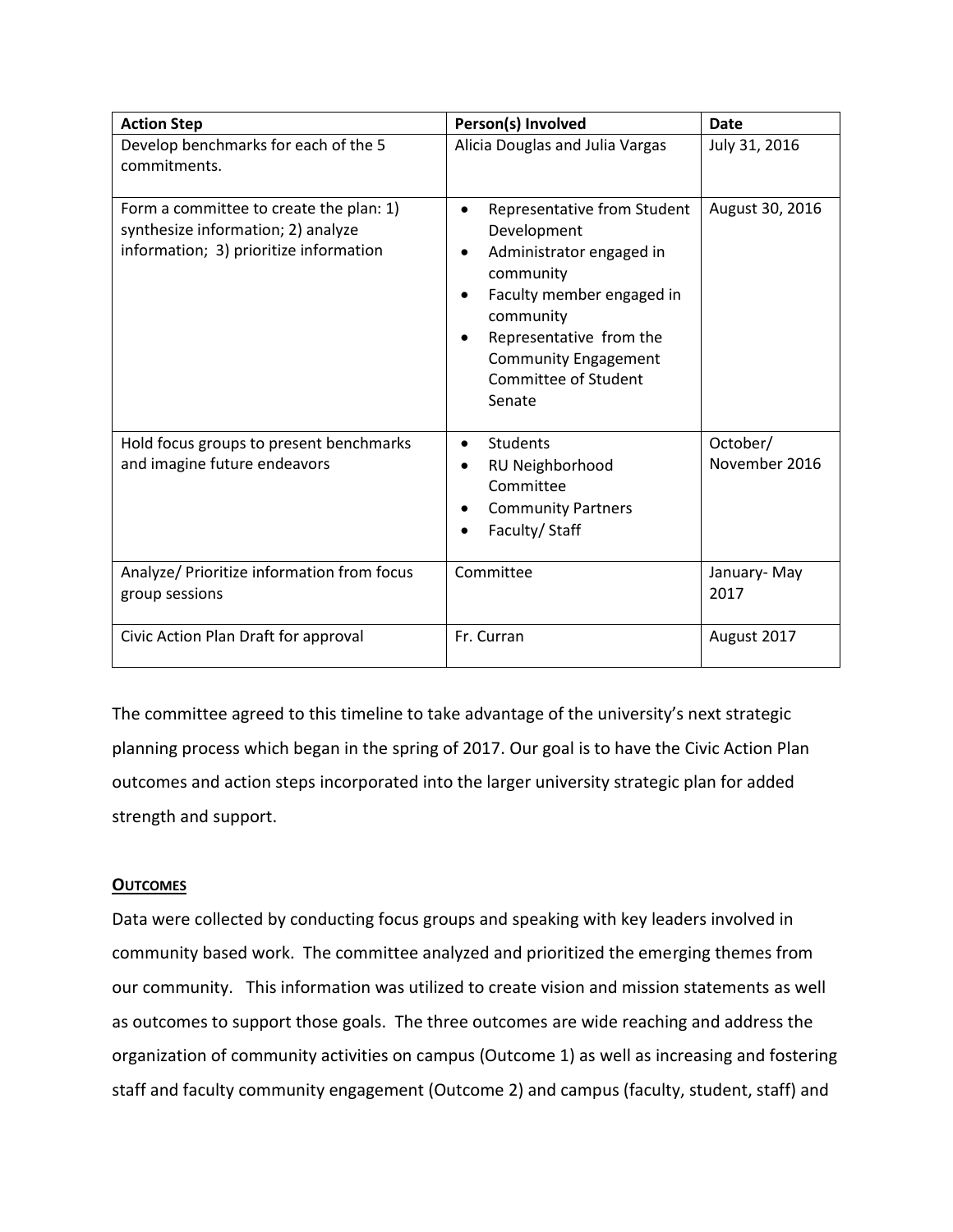| <b>Action Step</b>                                                                                                      | Person(s) Involved                                                                                                                                                                                                                                  | <b>Date</b>               |
|-------------------------------------------------------------------------------------------------------------------------|-----------------------------------------------------------------------------------------------------------------------------------------------------------------------------------------------------------------------------------------------------|---------------------------|
| Develop benchmarks for each of the 5<br>commitments.                                                                    | Alicia Douglas and Julia Vargas                                                                                                                                                                                                                     | July 31, 2016             |
| Form a committee to create the plan: 1)<br>synthesize information; 2) analyze<br>information; 3) prioritize information | Representative from Student<br>$\bullet$<br>Development<br>Administrator engaged in<br>community<br>Faculty member engaged in<br>community<br>Representative from the<br>$\bullet$<br><b>Community Engagement</b><br>Committee of Student<br>Senate | August 30, 2016           |
| Hold focus groups to present benchmarks<br>and imagine future endeavors                                                 | Students<br>$\bullet$<br>RU Neighborhood<br>Committee<br><b>Community Partners</b><br>$\bullet$<br>Faculty/ Staff                                                                                                                                   | October/<br>November 2016 |
| Analyze/ Prioritize information from focus<br>group sessions                                                            | Committee                                                                                                                                                                                                                                           | January-May<br>2017       |
| Civic Action Plan Draft for approval                                                                                    | Fr. Curran                                                                                                                                                                                                                                          | August 2017               |

The committee agreed to this timeline to take advantage of the university's next strategic planning process which began in the spring of 2017. Our goal is to have the Civic Action Plan outcomes and action steps incorporated into the larger university strategic plan for added strength and support.

# **OUTCOMES**

Data were collected by conducting focus groups and speaking with key leaders involved in community based work. The committee analyzed and prioritized the emerging themes from our community. This information was utilized to create vision and mission statements as well as outcomes to support those goals. The three outcomes are wide reaching and address the organization of community activities on campus (Outcome 1) as well as increasing and fostering staff and faculty community engagement (Outcome 2) and campus (faculty, student, staff) and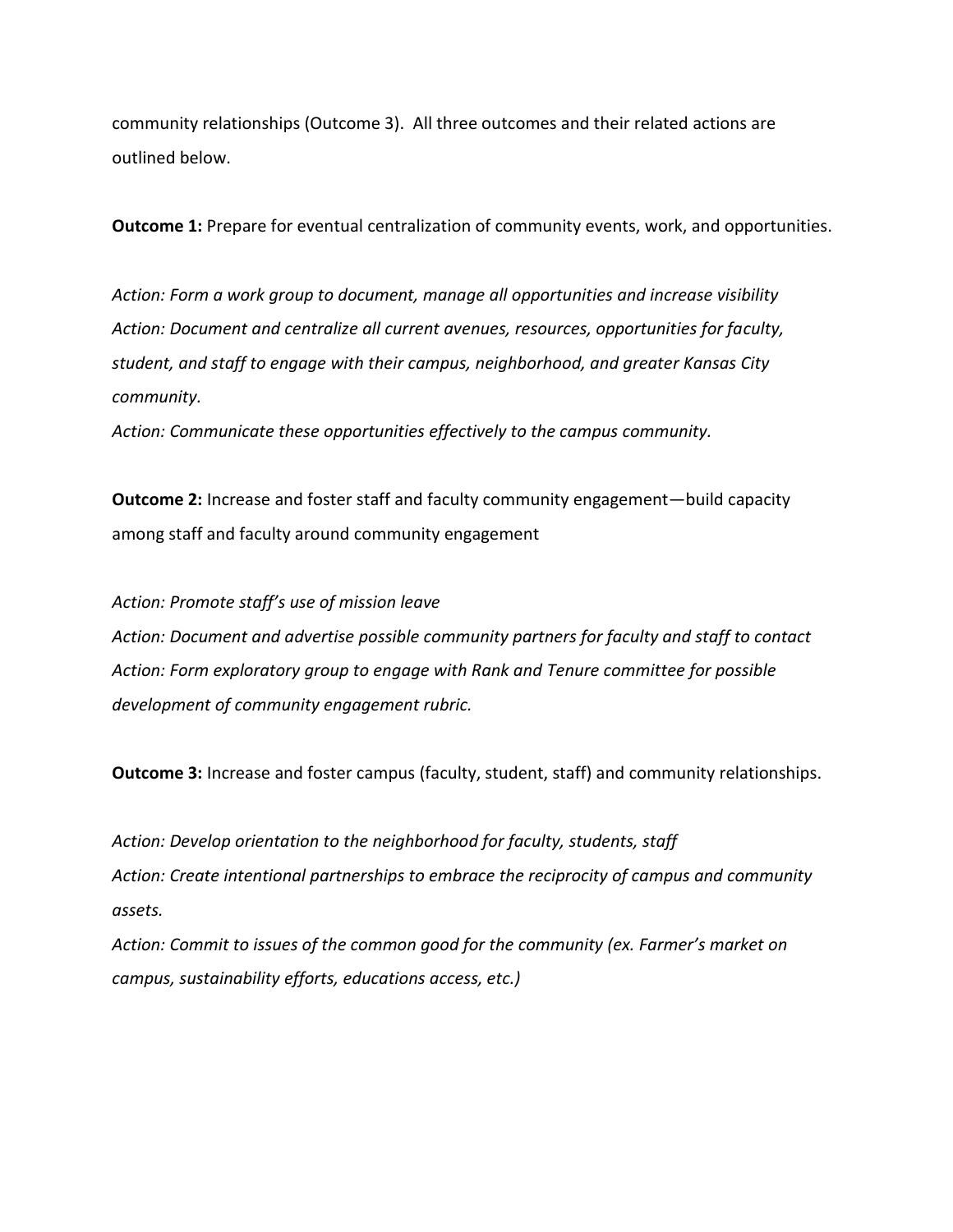community relationships (Outcome 3). All three outcomes and their related actions are outlined below.

**Outcome 1:** Prepare for eventual centralization of community events, work, and opportunities.

*Action: Form a work group to document, manage all opportunities and increase visibility Action: Document and centralize all current avenues, resources, opportunities for faculty, student, and staff to engage with their campus, neighborhood, and greater Kansas City community.*

*Action: Communicate these opportunities effectively to the campus community.*

**Outcome 2:** Increase and foster staff and faculty community engagement—build capacity among staff and faculty around community engagement

*Action: Promote staff's use of mission leave Action: Document and advertise possible community partners for faculty and staff to contact Action: Form exploratory group to engage with Rank and Tenure committee for possible development of community engagement rubric.*

**Outcome 3:** Increase and foster campus (faculty, student, staff) and community relationships.

*Action: Develop orientation to the neighborhood for faculty, students, staff Action: Create intentional partnerships to embrace the reciprocity of campus and community assets.*

*Action: Commit to issues of the common good for the community (ex. Farmer's market on campus, sustainability efforts, educations access, etc.)*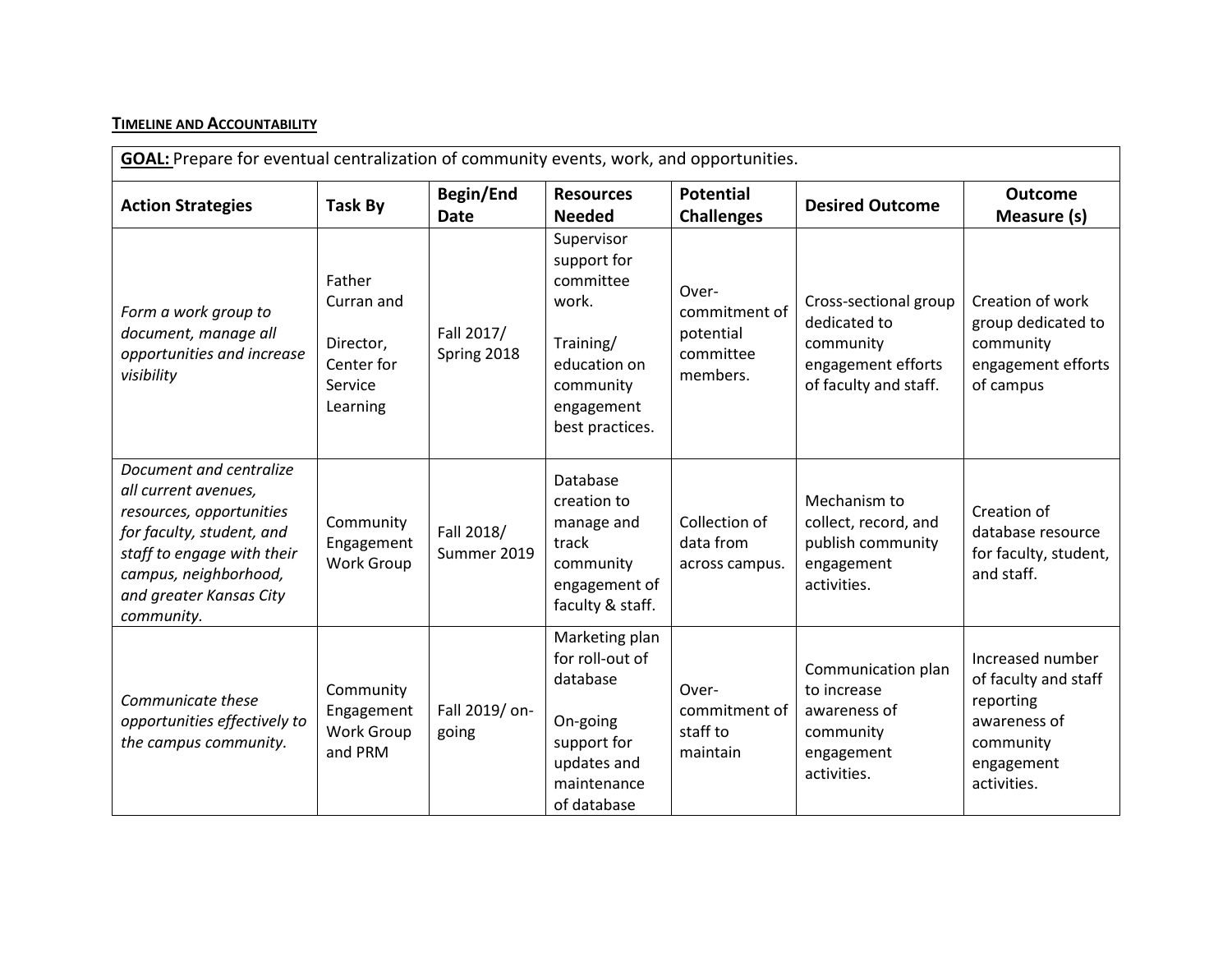# **TIMELINE AND ACCOUNTABILITY**

| GOAL: Prepare for eventual centralization of community events, work, and opportunities.                                                                                                                  |                                                                        |                           |                                                                                                                            |                                                              |                                                                                                   |                                                                                                                 |
|----------------------------------------------------------------------------------------------------------------------------------------------------------------------------------------------------------|------------------------------------------------------------------------|---------------------------|----------------------------------------------------------------------------------------------------------------------------|--------------------------------------------------------------|---------------------------------------------------------------------------------------------------|-----------------------------------------------------------------------------------------------------------------|
| <b>Action Strategies</b>                                                                                                                                                                                 | <b>Task By</b>                                                         | Begin/End<br><b>Date</b>  | <b>Resources</b><br><b>Needed</b>                                                                                          | <b>Potential</b><br><b>Challenges</b>                        | <b>Desired Outcome</b>                                                                            | <b>Outcome</b><br>Measure (s)                                                                                   |
| Form a work group to<br>document, manage all<br>opportunities and increase<br>visibility                                                                                                                 | Father<br>Curran and<br>Director,<br>Center for<br>Service<br>Learning | Fall 2017/<br>Spring 2018 | Supervisor<br>support for<br>committee<br>work.<br>Training/<br>education on<br>community<br>engagement<br>best practices. | Over-<br>commitment of<br>potential<br>committee<br>members. | Cross-sectional group<br>dedicated to<br>community<br>engagement efforts<br>of faculty and staff. | Creation of work<br>group dedicated to<br>community<br>engagement efforts<br>of campus                          |
| Document and centralize<br>all current avenues,<br>resources, opportunities<br>for faculty, student, and<br>staff to engage with their<br>campus, neighborhood,<br>and greater Kansas City<br>community. | Community<br>Engagement<br><b>Work Group</b>                           | Fall 2018/<br>Summer 2019 | Database<br>creation to<br>manage and<br>track<br>community<br>engagement of<br>faculty & staff.                           | Collection of<br>data from<br>across campus.                 | Mechanism to<br>collect, record, and<br>publish community<br>engagement<br>activities.            | Creation of<br>database resource<br>for faculty, student,<br>and staff.                                         |
| Communicate these<br>opportunities effectively to<br>the campus community.                                                                                                                               | Community<br>Engagement<br>Work Group<br>and PRM                       | Fall 2019/ on-<br>going   | Marketing plan<br>for roll-out of<br>database<br>On-going<br>support for<br>updates and<br>maintenance<br>of database      | Over-<br>commitment of<br>staff to<br>maintain               | Communication plan<br>to increase<br>awareness of<br>community<br>engagement<br>activities.       | Increased number<br>of faculty and staff<br>reporting<br>awareness of<br>community<br>engagement<br>activities. |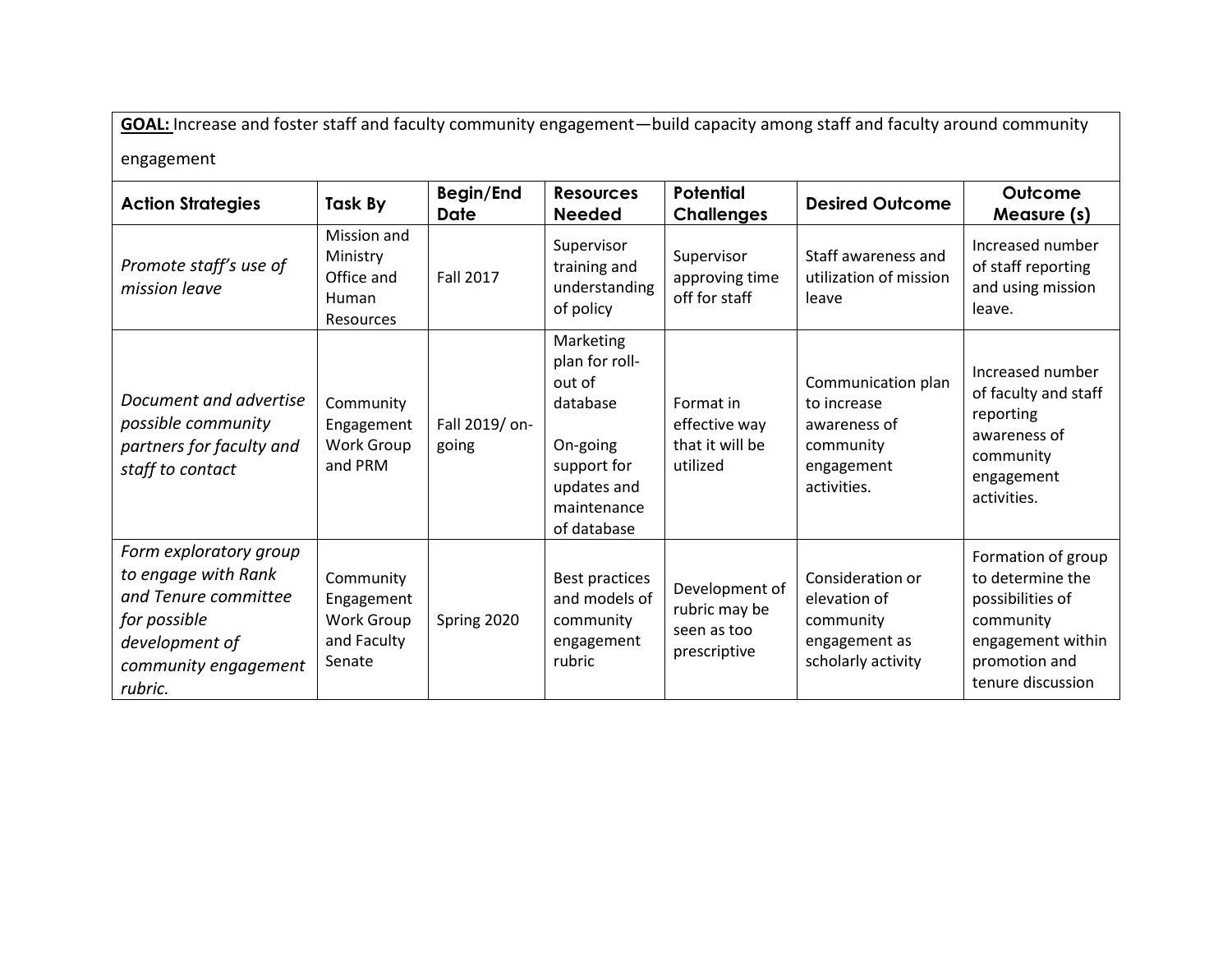**GOAL:** Increase and foster staff and faculty community engagement—build capacity among staff and faculty around community engagement

**Action Strategies Task By Begin/End Date** *Promote staff's use of mission leave* Mission and Ministry Office and Human Fall 2017

| <b>Action Strategies</b>                                                                                                                   | Task By                                                        | Begin/End<br><b>Date</b> | <b>Resources</b><br><b>Needed</b>                                                                                         | <b>Potential</b><br><b>Challenges</b>                          | <b>Desired Outcome</b>                                                                      | Outcome<br>Measure (s)                                                                                                             |
|--------------------------------------------------------------------------------------------------------------------------------------------|----------------------------------------------------------------|--------------------------|---------------------------------------------------------------------------------------------------------------------------|----------------------------------------------------------------|---------------------------------------------------------------------------------------------|------------------------------------------------------------------------------------------------------------------------------------|
| Promote staff's use of<br>mission leave                                                                                                    | Mission and<br>Ministry<br>Office and<br>Human<br>Resources    | <b>Fall 2017</b>         | Supervisor<br>training and<br>understanding<br>of policy                                                                  | Supervisor<br>approving time<br>off for staff                  | Staff awareness and<br>utilization of mission<br>leave                                      | Increased number<br>of staff reporting<br>and using mission<br>leave.                                                              |
| Document and advertise<br>possible community<br>partners for faculty and<br>staff to contact                                               | Community<br>Engagement<br>Work Group<br>and PRM               | Fall 2019/ on-<br>going  | Marketing<br>plan for roll-<br>out of<br>database<br>On-going<br>support for<br>updates and<br>maintenance<br>of database | Format in<br>effective way<br>that it will be<br>utilized      | Communication plan<br>to increase<br>awareness of<br>community<br>engagement<br>activities. | Increased number<br>of faculty and staff<br>reporting<br>awareness of<br>community<br>engagement<br>activities.                    |
| Form exploratory group<br>to engage with Rank<br>and Tenure committee<br>for possible<br>development of<br>community engagement<br>rubric. | Community<br>Engagement<br>Work Group<br>and Faculty<br>Senate | Spring 2020              | Best practices<br>and models of<br>community<br>engagement<br>rubric                                                      | Development of<br>rubric may be<br>seen as too<br>prescriptive | Consideration or<br>elevation of<br>community<br>engagement as<br>scholarly activity        | Formation of group<br>to determine the<br>possibilities of<br>community<br>engagement within<br>promotion and<br>tenure discussion |